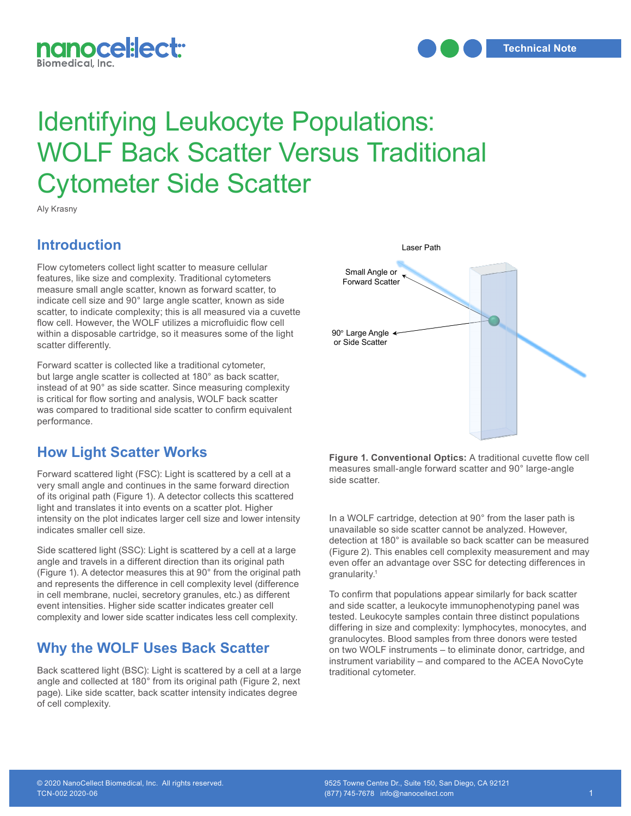

# Identifying Leukocyte Populations: WOLF Back Scatter Versus Traditional Cytometer Side Scatter at 90 degrees from the excitation of the excitation of the excitation of the excitation of the excitation of the excitation of the excitation of the excitation of the excitation of the excitation of

Aly Krasny

### **Introduction**

Flow cytometers collect light scatter to measure cellular features, like size and complexity. Traditional cytometers measure small angle scatter, known as forward scatter, to indicate cell size and 90° large angle scatter, known as side scatter, to indicate complexity; this is all measured via a cuvette flow cell. However, the WOLF utilizes a microfluidic flow cell within a disposable cartridge, so it measures some of the light scatter differently.

Forward scatter is collected like a traditional cytometer, but large angle scatter is collected at 180° as back scatter, instead of at 90° as side scatter. Since measuring complexity is critical for flow sorting and analysis, WOLF back scatter was compared to traditional side scatter to confirm equivalent performance.

# **How Light Scatter Works**

Forward scattered light (FSC): Light is scattered by a cell at a very small angle and continues in the same forward direction of its original path (Figure 1). A detector collects this scattered light and translates it into events on a scatter plot. Higher intensity on the plot indicates larger cell size and lower intensity **1** indicates smaller cell size.

Side scattered light (SSC): Light is scattered by a cell at a large angle and travels in a different direction than its original path (Figure 1). A detector measures this at 90° from the original path and represents the difference in cell complexity level (difference in cell membrane, nuclei, secretory granules, etc.) as different event intensities. Higher side scatter indicates greater cell complexity and lower side scatter indicates less cell complexity.

# **Why the WOLF Uses Back Scatter**

Back scattered light (BSC): Light is scattered by a cell at a large angle and collected at 180° from its original path (Figure 2, next page). Like side scatter, back scatter intensity indicates degree of cell complexity.



**Figure 1. Conventional Optics:** A traditional cuvette flow cell measures small-angle forward scatter and 90° large-angle side scatter.

In a WOLF cartridge, detection at 90° from the laser path is unavailable so side scatter cannot be analyzed. However, detection at 180° is available so back scatter can be measured (Figure 2). This enables cell complexity measurement and may even offer an advantage over SSC for detecting differences in granularity.<sup>1</sup>

To confirm that populations appear similarly for back scatter and side scatter, a leukocyte immunophenotyping panel was tested. Leukocyte samples contain three distinct populations differing in size and complexity: lymphocytes, monocytes, and granulocytes. Blood samples from three donors were tested on two WOLF instruments – to eliminate donor, cartridge, and instrument variability – and compared to the ACEA NovoCyte traditional cytometer.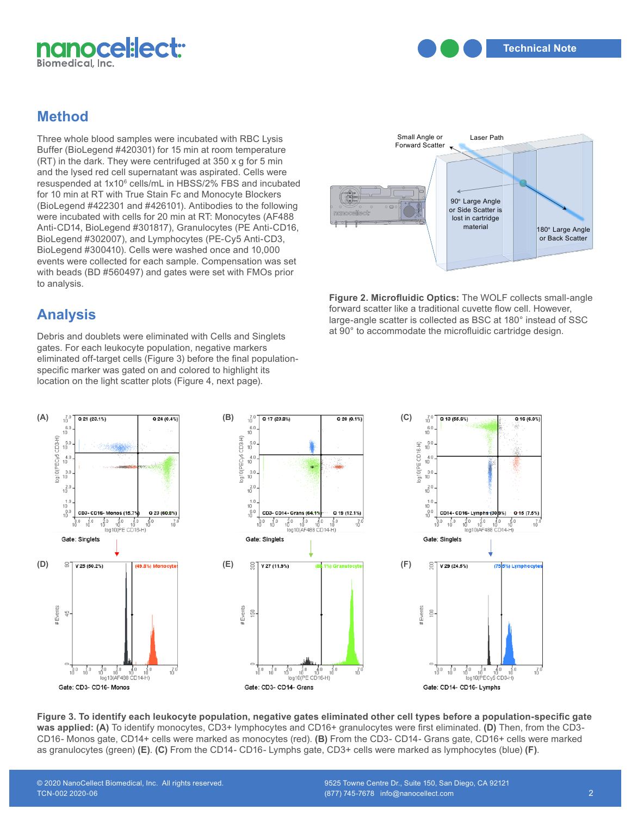

**Technical Note**

# **Method**

Three whole blood samples were incubated with RBC Lysis Buffer (BioLegend #420301) for 15 min at room temperature (RT) in the dark. They were centrifuged at 350 x g for 5 min and the lysed red cell supernatant was aspirated. Cells were resuspended at 1x10<sup>6</sup> cells/mL in HBSS/2% FBS and incubated for 10 min at RT with True Stain Fc and Monocyte Blockers (BioLegend #422301 and #426101). Antibodies to the following were incubated with cells for 20 min at RT: Monocytes (AF488 Anti-CD14, BioLegend #301817), Granulocytes (PE Anti-CD16, BioLegend #302007), and Lymphocytes (PE-Cy5 Anti-CD3, BioLegend #300410). Cells were washed once and 10,000 events were collected for each sample. Compensation was set with beads (BD #560497) and gates were set with FMOs prior to analysis.

# **Analysis**

Debris and doublets were eliminated with Cells and Singlets gates. For each leukocyte population, negative markers eliminated off-target cells (Figure 3) before the final population-**2** specific marker was gated on and colored to highlight its location on the light scatter plots (Figure 4, next page).



**Figure 2. Microfluidic Optics:** The WOLF collects small-angle forward scatter like a traditional cuvette flow cell. However, large-angle scatter is collected as BSC at  $180^\circ$  instead of SSC at 90° to accommodate the microfluidic cartridge design.



**Figure 3. To identify each leukocyte population, negative gates eliminated other cell types before a population-specific gate was applied: (A)** To identify monocytes, CD3+ lymphocytes and CD16+ granulocytes were first eliminated. **(D)** Then, from the CD3- CD16- Monos gate, CD14+ cells were marked as monocytes (red). **(B)** From the CD3- CD14- Grans gate, CD16+ cells were marked as granulocytes (green) **(E)**. **(C)** From the CD14- CD16- Lymphs gate, CD3+ cells were marked as lymphocytes (blue) **(F)**.